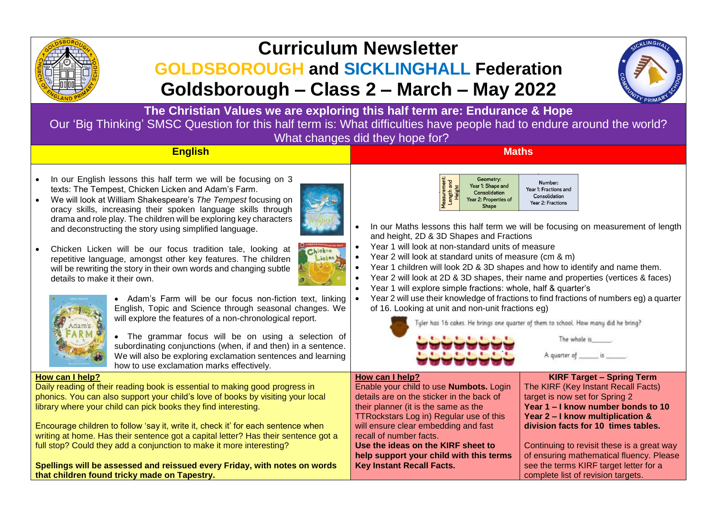

# **Curriculum Newsletter**

# **GOLDSBOROUGH and SICKLINGHALL Federation Goldsborough – Class 2 – March – May 2022**



**The Christian Values we are exploring this half term are: Endurance & Hope** Our 'Big Thinking' SMSC Question for this half term is: What difficulties have people had to endure around the world? What changes did they hope for?

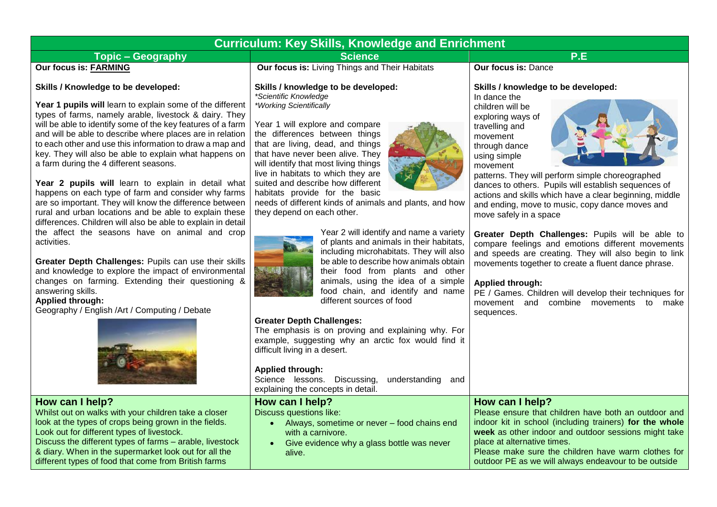# **Curriculum: Key Skills, Knowledge and Enrichment**

# **Topic – Geography Contract P.E. Science P.E. P.E. P.E. P.E. P.E. P.E. P.E. P.E. P.E. P.E. P.E. P.E. P.E. P.E. P.E. P.E. P.E. P.E. P.E. P.E. P.E. P.E. P.E. P.E. P.E.**

# **Our focus is: FARMING**

#### **Skills / Knowledge to be developed:**

**Year 1 pupils will** learn to explain some of the different types of farms, namely arable, livestock & dairy. They will be able to identify some of the key features of a farm and will be able to describe where places are in relation to each other and use this information to draw a map and key. They will also be able to explain what happens on a farm during the 4 different seasons.

**Year 2 pupils will** learn to explain in detail what happens on each type of farm and consider why farms are so important. They will know the difference between rural and urban locations and be able to explain these differences. Children will also be able to explain in detail the affect the seasons have on animal and crop activities.

**Greater Depth Challenges:** Pupils can use their skills and knowledge to explore the impact of environmental changes on farming. Extending their questioning & answering skills.

## **Applied through:**

Geography / English /Art / Computing / Debate



# **How can I help?**

Whilst out on walks with your children take a closer look at the types of crops being grown in the fields. Look out for different types of livestock. Discuss the different types of farms – arable, livestock & diary. When in the supermarket look out for all the

different types of food that come from British farms

**Our focus is:** Living Things and Their Habitats

**Skills / knowledge to be developed:** *\*Scientific Knowledge \*Working Scientifically*

Year 1 will explore and compare the differences between things that are living, dead, and things that have never been alive. They will identify that most living things live in habitats to which they are suited and describe how different habitats provide for the basic



needs of different kinds of animals and plants, and how they depend on each other.



Year 2 will identify and name a variety of plants and animals in their habitats, including microhabitats. They will also be able to describe how animals obtain their food from plants and other animals, using the idea of a simple food chain, and identify and name different sources of food

#### **Greater Depth Challenges:**

The emphasis is on proving and explaining why. For example, suggesting why an arctic fox would find it difficult living in a desert.

#### **Applied through:**

Science lessons. Discussing, understanding and explaining the concepts in detail.

**How can I help?** Discuss questions like:

- Always, sometime or never food chains end with a carnivore.
- Give evidence why a glass bottle was never alive.

**Our focus is:** Dance

## **Skills / knowledge to be developed:**

In dance the children will be exploring ways of travelling and movement through dance using simple movement



patterns. They will perform simple choreographed dances to others. Pupils will establish sequences of actions and skills which have a clear beginning, middle and ending, move to music, copy dance moves and move safely in a space

**Greater Depth Challenges:** Pupils will be able to compare feelings and emotions different movements and speeds are creating. They will also begin to link movements together to create a fluent dance phrase.

## **Applied through:**

PE / Games. Children will develop their techniques for movement and combine movements to make sequences.

# **How can I help?**

Please ensure that children have both an outdoor and indoor kit in school (including trainers) **for the whole week** as other indoor and outdoor sessions might take place at alternative times. Please make sure the children have warm clothes for outdoor PE as we will always endeavour to be outside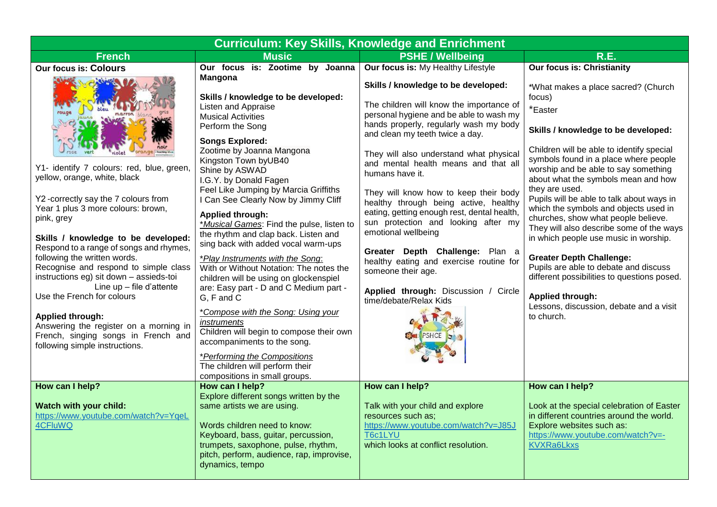| <b>Curriculum: Key Skills, Knowledge and Enrichment</b>                                                                                                                                                                                                                                                                                                                                                                                                                                                                                                                                                                       |                                                                                                                                                                                                                                                                                                                                                                                                                                                                                                                                                                                                                                                                                                                                                                                                                                                                                                                                                                 |                                                                                                                                                                                                                                                                                                                                                                                                                                                                                                                                                                                                                                                                                                                          |                                                                                                                                                                                                                                                                                                                                                                                                                                                                                                                                                                                                                                                                                                                                                              |  |
|-------------------------------------------------------------------------------------------------------------------------------------------------------------------------------------------------------------------------------------------------------------------------------------------------------------------------------------------------------------------------------------------------------------------------------------------------------------------------------------------------------------------------------------------------------------------------------------------------------------------------------|-----------------------------------------------------------------------------------------------------------------------------------------------------------------------------------------------------------------------------------------------------------------------------------------------------------------------------------------------------------------------------------------------------------------------------------------------------------------------------------------------------------------------------------------------------------------------------------------------------------------------------------------------------------------------------------------------------------------------------------------------------------------------------------------------------------------------------------------------------------------------------------------------------------------------------------------------------------------|--------------------------------------------------------------------------------------------------------------------------------------------------------------------------------------------------------------------------------------------------------------------------------------------------------------------------------------------------------------------------------------------------------------------------------------------------------------------------------------------------------------------------------------------------------------------------------------------------------------------------------------------------------------------------------------------------------------------------|--------------------------------------------------------------------------------------------------------------------------------------------------------------------------------------------------------------------------------------------------------------------------------------------------------------------------------------------------------------------------------------------------------------------------------------------------------------------------------------------------------------------------------------------------------------------------------------------------------------------------------------------------------------------------------------------------------------------------------------------------------------|--|
| <b>French</b>                                                                                                                                                                                                                                                                                                                                                                                                                                                                                                                                                                                                                 | <b>Music</b>                                                                                                                                                                                                                                                                                                                                                                                                                                                                                                                                                                                                                                                                                                                                                                                                                                                                                                                                                    | <b>PSHE / Wellbeing</b>                                                                                                                                                                                                                                                                                                                                                                                                                                                                                                                                                                                                                                                                                                  | <b>R.E.</b>                                                                                                                                                                                                                                                                                                                                                                                                                                                                                                                                                                                                                                                                                                                                                  |  |
| <b>Our focus is: Colours</b><br>rouge<br>Y1- identify 7 colours: red, blue, green,<br>yellow, orange, white, black<br>Y2-correctly say the 7 colours from<br>Year 1 plus 3 more colours: brown,<br>pink, grey<br>Skills / knowledge to be developed:<br>Respond to a range of songs and rhymes,<br>following the written words.<br>Recognise and respond to simple class<br>instructions eg) sit down - assieds-toi<br>Line $up$ – file d'attente<br>Use the French for colours<br><b>Applied through:</b><br>Answering the register on a morning in<br>French, singing songs in French and<br>following simple instructions. | Our focus is: Zootime by Joanna<br><b>Mangona</b><br>Skills / knowledge to be developed:<br><b>Listen and Appraise</b><br><b>Musical Activities</b><br>Perform the Song<br><b>Songs Explored:</b><br>Zootime by Joanna Mangona<br>Kingston Town byUB40<br>Shine by ASWAD<br>I.G.Y. by Donald Fagen<br>Feel Like Jumping by Marcia Griffiths<br>I Can See Clearly Now by Jimmy Cliff<br><b>Applied through:</b><br>*Musical Games: Find the pulse, listen to<br>the rhythm and clap back. Listen and<br>sing back with added vocal warm-ups<br>*Play Instruments with the Song:<br>With or Without Notation: The notes the<br>children will be using on glockenspiel<br>are: Easy part - D and C Medium part -<br>G, F and C<br>*Compose with the Song: Using your<br>instruments<br>Children will begin to compose their own<br>accompaniments to the song.<br>*Performing the Compositions<br>The children will perform their<br>compositions in small groups. | Our focus is: My Healthy Lifestyle<br>Skills / knowledge to be developed:<br>The children will know the importance of<br>personal hygiene and be able to wash my<br>hands properly, regularly wash my body<br>and clean my teeth twice a day.<br>They will also understand what physical<br>and mental health means and that all<br>humans have it.<br>They will know how to keep their body<br>healthy through being active, healthy<br>eating, getting enough rest, dental health,<br>sun protection and looking after my<br>emotional wellbeing<br>Greater Depth Challenge: Plan a<br>healthy eating and exercise routine for<br>someone their age.<br>Applied through: Discussion / Circle<br>time/debate/Relax Kids | <b>Our focus is: Christianity</b><br>*What makes a place sacred? (Church<br>focus)<br>*Easter<br>Skills / knowledge to be developed:<br>Children will be able to identify special<br>symbols found in a place where people<br>worship and be able to say something<br>about what the symbols mean and how<br>they are used.<br>Pupils will be able to talk about ways in<br>which the symbols and objects used in<br>churches, show what people believe.<br>They will also describe some of the ways<br>in which people use music in worship.<br><b>Greater Depth Challenge:</b><br>Pupils are able to debate and discuss<br>different possibilities to questions posed.<br><b>Applied through:</b><br>Lessons, discussion, debate and a visit<br>to church. |  |
| How can I help?<br>Watch with your child:<br>https://www.youtube.com/watch?v=YqeL<br>4CFluWQ                                                                                                                                                                                                                                                                                                                                                                                                                                                                                                                                  | How can I help?<br>Explore different songs written by the<br>same artists we are using.<br>Words children need to know:<br>Keyboard, bass, guitar, percussion,<br>trumpets, saxophone, pulse, rhythm,<br>pitch, perform, audience, rap, improvise,<br>dynamics, tempo                                                                                                                                                                                                                                                                                                                                                                                                                                                                                                                                                                                                                                                                                           | How can I help?<br>Talk with your child and explore<br>resources such as;<br>https://www.youtube.com/watch?v=J85J<br>T6c1LYU<br>which looks at conflict resolution.                                                                                                                                                                                                                                                                                                                                                                                                                                                                                                                                                      | How can I help?<br>Look at the special celebration of Easter<br>in different countries around the world.<br>Explore websites such as:<br>https://www.youtube.com/watch?v=-<br><b>KVXRa6Lkxs</b>                                                                                                                                                                                                                                                                                                                                                                                                                                                                                                                                                              |  |